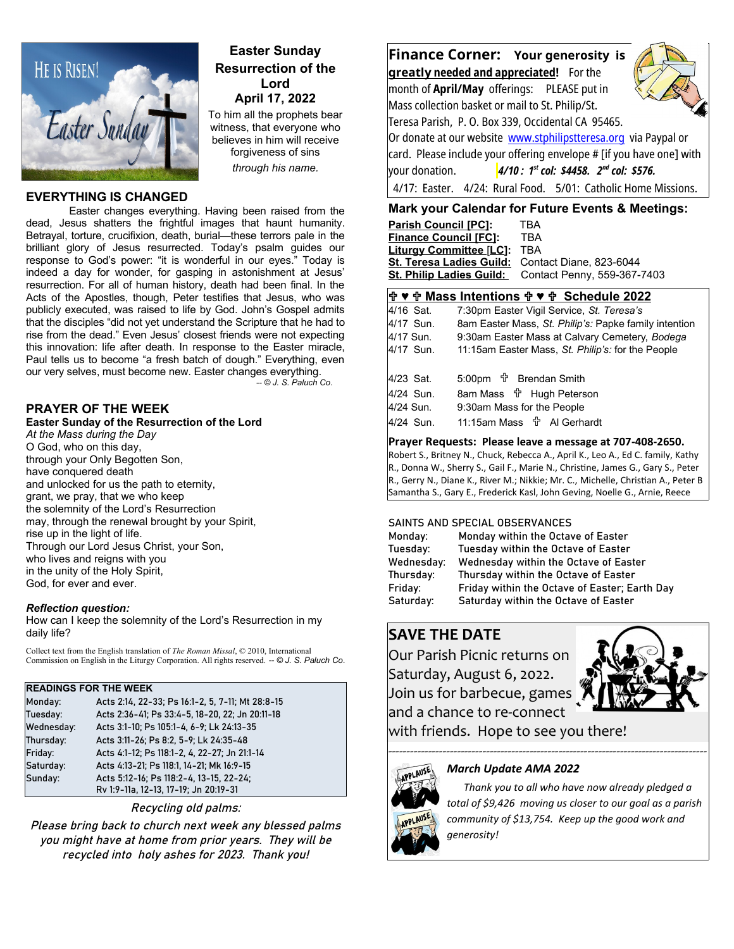

# **Easter Sunday Resurrection of the Lord April 17, 2022**

To him all the prophets bear witness, that everyone who believes in him will receive forgiveness of sins *through his name.* 

## **EVERYTHING IS CHANGED**

Easter changes everything. Having been raised from the dead, Jesus shatters the frightful images that haunt humanity. Betrayal, torture, crucifixion, death, burial—these terrors pale in the brilliant glory of Jesus resurrected. Today's psalm guides our response to God's power: "it is wonderful in our eyes." Today is indeed a day for wonder, for gasping in astonishment at Jesus' resurrection. For all of human history, death had been final. In the Acts of the Apostles, though, Peter testifies that Jesus, who was publicly executed, was raised to life by God. John's Gospel admits that the disciples "did not yet understand the Scripture that he had to rise from the dead." Even Jesus' closest friends were not expecting this innovation: life after death. In response to the Easter miracle, Paul tells us to become "a fresh batch of dough." Everything, even our very selves, must become new. Easter changes everything.

*-- © J. S. Paluch Co*.

## **PRAYER OF THE WEEK**

**Easter Sunday of the Resurrection of the Lord**

*At the Mass during the Day* O God, who on this day, through your Only Begotten Son, have conquered death and unlocked for us the path to eternity, grant, we pray, that we who keep the solemnity of the Lord's Resurrection may, through the renewal brought by your Spirit, rise up in the light of life. Through our Lord Jesus Christ, your Son, who lives and reigns with you in the unity of the Holy Spirit, God, for ever and ever.

#### *Reflection question:*

How can I keep the solemnity of the Lord's Resurrection in my daily life?

Collect text from the English translation of *The Roman Missal*, © 2010, International Commission on English in the Liturgy Corporation. All rights reserved. *-- © J. S. Paluch Co*.

#### **READINGS FOR THE WEEK**

| Monday:    | Acts 2:14, 22-33; Ps 16:1-2, 5, 7-11; Mt 28:8-15 |  |
|------------|--------------------------------------------------|--|
| Tuesday:   | Acts 2:36-41; Ps 33:4-5, 18-20, 22; Jn 20:11-18  |  |
| Wednesday: | Acts 3:1-10; Ps 105:1-4, 6-9; Lk 24:13-35        |  |
| Thursday:  | Acts 3:11-26; Ps 8:2, 5-9; Lk 24:35-48           |  |
| Friday:    | Acts 4:1-12; Ps 118:1-2, 4, 22-27; Jn 21:1-14    |  |
| Saturday:  | Acts 4:13-21; Ps 118:1, 14-21; Mk 16:9-15        |  |
| Sunday:    | Acts 5:12-16; Ps 118:2-4, 13-15, 22-24;          |  |
|            | Rv 1:9-11a, 12-13, 17-19; Jn 20:19-31            |  |

Recycling old palms:

Please bring back to church next week any blessed palms you might have at home from prior years. They will be recycled into holy ashes for 2023. Thank you!



# **Mark your Calendar for Future Events & Meetings:**

| <b>Parish Council [PC]:</b>                      | TBA                         |
|--------------------------------------------------|-----------------------------|
| <b>Finance Council [FC]:</b>                     | TRA                         |
| <b>Liturgy Committee [LC]:</b>                   | <b>TBA</b>                  |
| St. Teresa Ladies Guild: Contact Diane, 823-6044 |                             |
| <b>St. Philip Ladies Guild:</b>                  | Contact Penny, 559-367-7403 |
|                                                  |                             |

## **♥ Mass Intentions ♥ Schedule 2022**

|           | <b>I</b> INQUU INQUILIUNU I Y II UUNUQQIU EVEE        |
|-----------|-------------------------------------------------------|
| 4/16 Sat. | 7:30pm Easter Vigil Service, St. Teresa's             |
| 4/17 Sun. | 8am Easter Mass, St. Philip's: Papke family intention |
| 4/17 Sun. | 9:30am Easter Mass at Calvary Cemetery, Bodega        |
| 4/17 Sun. | 11:15am Easter Mass, St. Philip's: for the People     |
|           |                                                       |
| 4/23 Sat. |                                                       |
| 4/24 Sun. | 8am Mass <sup>•</sup> Hugh Peterson                   |
| 4/24 Sun. | 9:30am Mass for the People                            |
| 4/24 Sun. |                                                       |

**Prayer Requests: Please leave a message at 707-408-2650.**  Robert S., Britney N., Chuck, Rebecca A., April K., Leo A., Ed C. family, Kathy

R., Donna W., Sherry S., Gail F., Marie N., Christine, James G., Gary S., Peter R., Gerry N., Diane K., River M.; Nikkie; Mr. C., Michelle, Christian A., Peter B Samantha S., Gary E., Frederick Kasl, John Geving, Noelle G., Arnie, Reece

#### SAINTS AND SPECIAL OBSERVANCES

| Monday within the Octave of Easter            |
|-----------------------------------------------|
| Tuesday within the Octave of Easter           |
| Wednesday within the Octave of Easter         |
| Thursday within the Octave of Easter          |
| Friday within the Octave of Easter; Earth Day |
| Saturday within the Octave of Easter          |
|                                               |

# **SAVE THE DATE**

Our Parish Picnic returns on Saturday, August 6, 2022. Join us for barbecue, games and a chance to re-connect



with friends. Hope to see you there!

----------------------------------------------------------------------------------------

# *March Update AMA 2022*



**APPLAUSE** 

 *Thank you to all who have now already pledged a total of \$9,426 moving us closer to our goal as a parish community of \$13,754. Keep up the good work and generosity!*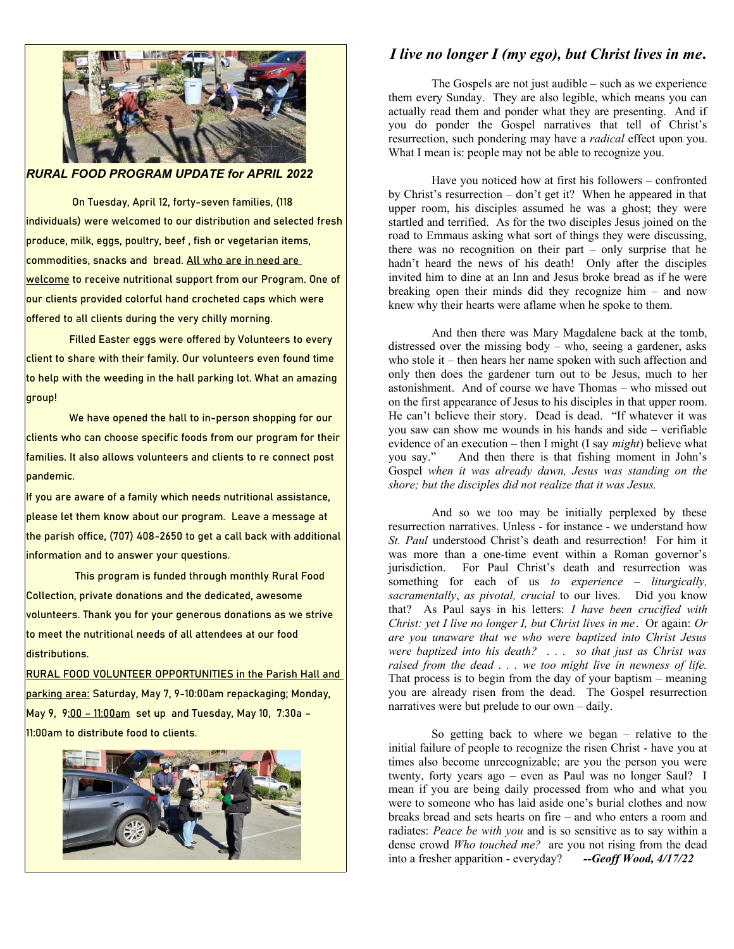

*RURAL FOOD PROGRAM UPDATE for APRIL 2022*

 On Tuesday, April 12, forty-seven families, (118 individuals) were welcomed to our distribution and selected fresh produce, milk, eggs, poultry, beef , fish or vegetarian items, commodities, snacks and bread. All who are in need are welcome to receive nutritional support from our Program. One of our clients provided colorful hand crocheted caps which were offered to all clients during the very chilly morning.

Filled Easter eggs were offered by Volunteers to every client to share with their family. Our volunteers even found time to help with the weeding in the hall parking lot. What an amazing group!

We have opened the hall to in-person shopping for our clients who can choose specific foods from our program for their families. It also allows volunteers and clients to re connect post pandemic.

If you are aware of a family which needs nutritional assistance, please let them know about our program. Leave a message at the parish office, (707) 408-2650 to get a call back with additional information and to answer your questions.

 This program is funded through monthly Rural Food Collection, private donations and the dedicated, awesome volunteers. Thank you for your generous donations as we strive to meet the nutritional needs of all attendees at our food distributions.

RURAL FOOD VOLUNTEER OPPORTUNITIES in the Parish Hall and parking area: Saturday, May 7, 9-10:00am repackaging; Monday, May 9, 9:00 – 11:00am set up and Tuesday, May 10, 7:30a – 11:00am to distribute food to clients.



## *I live no longer I (my ego), but Christ lives in me***.**

The Gospels are not just audible – such as we experience them every Sunday. They are also legible, which means you can actually read them and ponder what they are presenting. And if you do ponder the Gospel narratives that tell of Christ's resurrection, such pondering may have a *radical* effect upon you. What I mean is: people may not be able to recognize you.

Have you noticed how at first his followers – confronted by Christ's resurrection – don't get it? When he appeared in that upper room, his disciples assumed he was a ghost; they were startled and terrified. As for the two disciples Jesus joined on the road to Emmaus asking what sort of things they were discussing, there was no recognition on their part – only surprise that he hadn't heard the news of his death! Only after the disciples invited him to dine at an Inn and Jesus broke bread as if he were breaking open their minds did they recognize him – and now knew why their hearts were aflame when he spoke to them.

And then there was Mary Magdalene back at the tomb, distressed over the missing body – who, seeing a gardener, asks who stole it – then hears her name spoken with such affection and only then does the gardener turn out to be Jesus, much to her astonishment. And of course we have Thomas – who missed out on the first appearance of Jesus to his disciples in that upper room. He can't believe their story. Dead is dead. "If whatever it was you saw can show me wounds in his hands and side – verifiable evidence of an execution – then I might (I say *might*) believe what you say." And then there is that fishing moment in John's Gospel *when it was already dawn, Jesus was standing on the shore; but the disciples did not realize that it was Jesus.*

And so we too may be initially perplexed by these resurrection narratives. Unless - for instance - we understand how *St. Paul* understood Christ's death and resurrection! For him it was more than a one-time event within a Roman governor's jurisdiction. For Paul Christ's death and resurrection was something for each of us *to experience – liturgically, sacramentally*, *as pivotal, crucial* to our lives. Did you know that? As Paul says in his letters: *I have been crucified with Christ: yet I live no longer I, but Christ lives in me*. Or again: *Or are you unaware that we who were baptized into Christ Jesus were baptized into his death? . . . so that just as Christ was raised from the dead . . . we too might live in newness of life.* That process is to begin from the day of your baptism – meaning you are already risen from the dead. The Gospel resurrection narratives were but prelude to our own – daily.

So getting back to where we began – relative to the initial failure of people to recognize the risen Christ - have you at times also become unrecognizable; are you the person you were twenty, forty years ago – even as Paul was no longer Saul? I mean if you are being daily processed from who and what you were to someone who has laid aside one's burial clothes and now breaks bread and sets hearts on fire – and who enters a room and radiates: *Peace be with you* and is so sensitive as to say within a dense crowd *Who touched me?* are you not rising from the dead into a fresher apparition - everyday? *--Geoff Wood, 4/17/22*